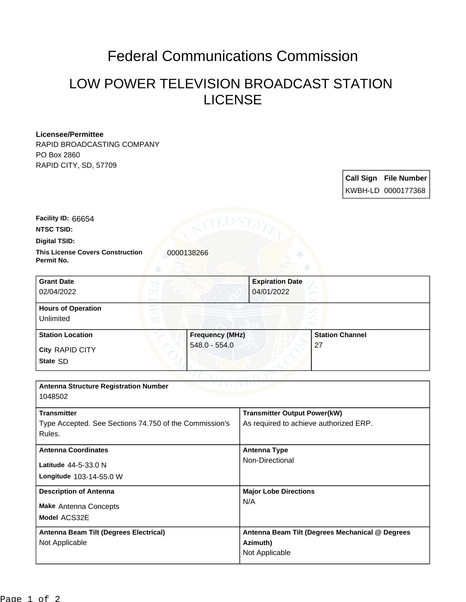## Federal Communications Commission

## LOW POWER TELEVISION BROADCAST STATION LICENSE

## **Licensee/Permittee**

RAPID BROADCASTING COMPANY PO Box 2860 RAPID CITY, SD, 57709

> **Call Sign File Number** KWBH-LD 0000177368

**NTSC TSID: Facility ID:** 66654

**Digital TSID:**

**This License Covers Construction 10000138266 Permit No.**

**State** SD **City** RAPID CITY **Grant Date** 02/04/2022 **Expiration Date** 04/01/2022 **Hours of Operation** Unlimited **Station Location Figure 1.1 Construction Frequency (MHz)** 548.0 - 554.0 **Station Channel** 27

| <b>Antenna Structure Registration Number</b><br>1048502                                |                                                                               |
|----------------------------------------------------------------------------------------|-------------------------------------------------------------------------------|
| <b>Transmitter</b><br>Type Accepted. See Sections 74.750 of the Commission's<br>Rules. | <b>Transmitter Output Power(kW)</b><br>As required to achieve authorized ERP. |
| <b>Antenna Coordinates</b><br>Latitude 44-5-33.0 N<br>Longitude 103-14-55.0 W          | Antenna Type<br>Non-Directional                                               |
| <b>Description of Antenna</b><br><b>Make Antenna Concepts</b><br>Model ACS32E          | <b>Major Lobe Directions</b><br>N/A                                           |
| Antenna Beam Tilt (Degrees Electrical)<br>Not Applicable                               | Antenna Beam Tilt (Degrees Mechanical @ Degrees<br>Azimuth)<br>Not Applicable |